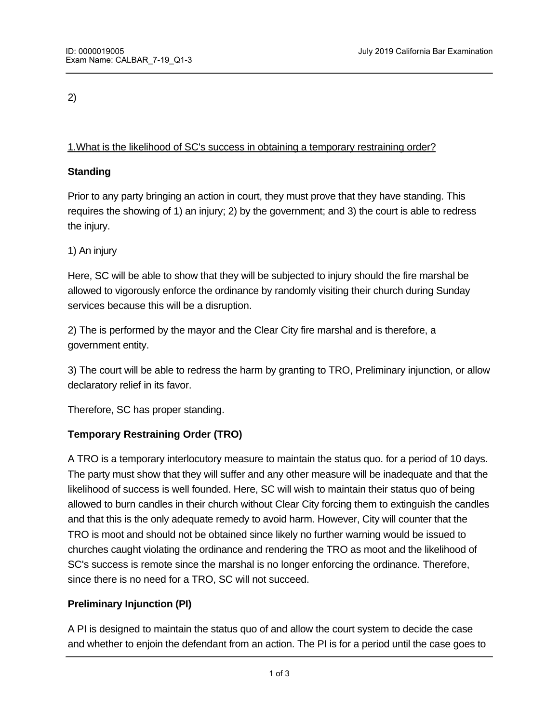# 2)

# 1.What is the likelihood of SC's success in obtaining a temporary restraining order?

## **Standing**

Prior to any party bringing an action in court, they must prove that they have standing. This requires the showing of 1) an injury; 2) by the government; and 3) the court is able to redress the injury.

## 1) An injury

Here, SC will be able to show that they will be subjected to injury should the fire marshal be allowed to vigorously enforce the ordinance by randomly visiting their church during Sunday services because this will be a disruption.

2) The is performed by the mayor and the Clear City fire marshal and is therefore, a government entity.

3) The court will be able to redress the harm by granting to TRO, Preliminary injunction, or allow declaratory relief in its favor.

Therefore, SC has proper standing.

# **Temporary Restraining Order (TRO)**

A TRO is a temporary interlocutory measure to maintain the status quo. for a period of 10 days. The party must show that they will suffer and any other measure will be inadequate and that the likelihood of success is well founded. Here, SC will wish to maintain their status quo of being allowed to burn candles in their church without Clear City forcing them to extinguish the candles and that this is the only adequate remedy to avoid harm. However, City will counter that the TRO is moot and should not be obtained since likely no further warning would be issued to churches caught violating the ordinance and rendering the TRO as moot and the likelihood of SC's success is remote since the marshal is no longer enforcing the ordinance. Therefore, since there is no need for a TRO, SC will not succeed.

## **Preliminary Injunction (PI)**

A PI is designed to maintain the status quo of and allow the court system to decide the case and whether to enjoin the defendant from an action. The PI is for a period until the case goes to

court in most cases where the defendant must adhere to the defendant must adhere to the court's ruling until t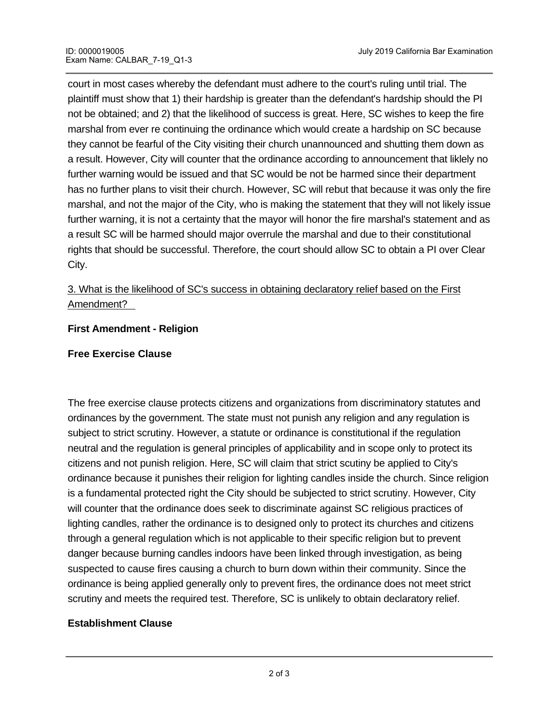court in most cases whereby the defendant must adhere to the court's ruling until trial. The plaintiff must show that 1) their hardship is greater than the defendant's hardship should the PI not be obtained; and 2) that the likelihood of success is great. Here, SC wishes to keep the fire marshal from ever re continuing the ordinance which would create a hardship on SC because they cannot be fearful of the City visiting their church unannounced and shutting them down as a result. However, City will counter that the ordinance according to announcement that liklely no further warning would be issued and that SC would be not be harmed since their department has no further plans to visit their church. However, SC will rebut that because it was only the fire marshal, and not the major of the City, who is making the statement that they will not likely issue further warning, it is not a certainty that the mayor will honor the fire marshal's statement and as a result SC will be harmed should major overrule the marshal and due to their constitutional rights that should be successful. Therefore, the court should allow SC to obtain a PI over Clear City.

# 3. What is the likelihood of SC's success in obtaining declaratory relief based on the First Amendment?

#### **First Amendment - Religion**

#### **Free Exercise Clause**

The free exercise clause protects citizens and organizations from discriminatory statutes and ordinances by the government. The state must not punish any religion and any regulation is subject to strict scrutiny. However, a statute or ordinance is constitutional if the regulation neutral and the regulation is general principles of applicability and in scope only to protect its citizens and not punish religion. Here, SC will claim that strict scutiny be applied to City's ordinance because it punishes their religion for lighting candles inside the church. Since religion is a fundamental protected right the City should be subjected to strict scrutiny. However, City will counter that the ordinance does seek to discriminate against SC religious practices of lighting candles, rather the ordinance is to designed only to protect its churches and citizens through a general regulation which is not applicable to their specific religion but to prevent danger because burning candles indoors have been linked through investigation, as being suspected to cause fires causing a church to burn down within their community. Since the ordinance is being applied generally only to prevent fires, the ordinance does not meet strict scrutiny and meets the required test. Therefore, SC is unlikely to obtain declaratory relief.

## **Establishment Clause**